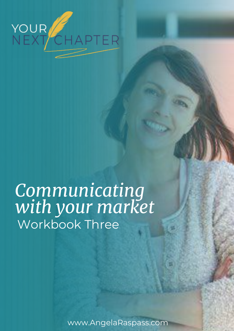

# *Communicating with your market*  Workbook Three

www.AngelaRaspass.com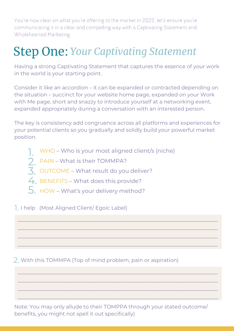You're now clear on what you're offering to the market in 2022, let's ensure you're communicating it in a clear and compelling way with a Captivating Statement and Wholehearted Marketing.

# Step One: *Your Captivating Statement*

Having a strong Captivating Statement that captures the essence of your work in the world is your starting point.

Consider it like an accordion – it can be expanded or contracted depending on the situation – succinct for your website home page, expanded on your Work with Me page, short and snazzy to introduce yourself at a networking event, expanded appropriately during a conversation with an interested person.

The key is consistency add congruence across all platforms and experiences for your potential clients so you gradually and solidly build your powerful market position.

 $\_$  , and the set of the set of the set of the set of the set of the set of the set of the set of the set of the set of the set of the set of the set of the set of the set of the set of the set of the set of the set of th

 $\_$  , and the set of the set of the set of the set of the set of the set of the set of the set of the set of the set of the set of the set of the set of the set of the set of the set of the set of the set of the set of th

 $\_$  , and the set of the set of the set of the set of the set of the set of the set of the set of the set of the set of the set of the set of the set of the set of the set of the set of the set of the set of the set of th

 $\_$  , and the set of the set of the set of the set of the set of the set of the set of the set of the set of the set of the set of the set of the set of the set of the set of the set of the set of the set of the set of th

 $\_$  , and the set of the set of the set of the set of the set of the set of the set of the set of the set of the set of the set of the set of the set of the set of the set of the set of the set of the set of the set of th

 $\_$  , and the set of the set of the set of the set of the set of the set of the set of the set of the set of the set of the set of the set of the set of the set of the set of the set of the set of the set of the set of th

 $\_$  , and the set of the set of the set of the set of the set of the set of the set of the set of the set of the set of the set of the set of the set of the set of the set of the set of the set of the set of the set of th

 $\_$  , and the set of the set of the set of the set of the set of the set of the set of the set of the set of the set of the set of the set of the set of the set of the set of the set of the set of the set of the set of th

- WHO Who is your most aligned client/s (niche) 1.
- PAIN What is their TOMMPA? 2.
- $\overline{3}$ , OUTCOME What result do you deliver?
- 4. BENEFITS What does this provide?
- $5.$  HOW What's your delivery method?

1. I help (Most Aligned Client/ Egoic Label)

2. With this TOMMPA (Top of mind problem, pain or aspiration)

Note: You may only allude to their TOMPPA through your stated outcome/ benefits, you might not spell it out specifically)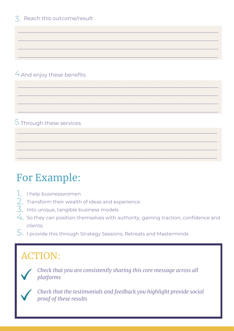#### 4.And enjoy these benefits

#### 5.Through these services

# For Example:

- 1. I help businesswomen
- $\overline{2}$ . Transform their wealth of ideas and experience
- $\overline{3}$ . Into unique, tangible business models
- $\mathcal{A}_\cdot$  So they can position themselves with authority, gaining traction, confidence and clients.

 $\_$  , and the set of the set of the set of the set of the set of the set of the set of the set of the set of the set of the set of the set of the set of the set of the set of the set of the set of the set of the set of th

 $\_$  , and the set of the set of the set of the set of the set of the set of the set of the set of the set of the set of the set of the set of the set of the set of the set of the set of the set of the set of the set of th

 $\_$  , and the set of the set of the set of the set of the set of the set of the set of the set of the set of the set of the set of the set of the set of the set of the set of the set of the set of the set of the set of th

 $\_$  , and the set of the set of the set of the set of the set of the set of the set of the set of the set of the set of the set of the set of the set of the set of the set of the set of the set of the set of the set of th

 $\_$  , and the set of the set of the set of the set of the set of the set of the set of the set of the set of the set of the set of the set of the set of the set of the set of the set of the set of the set of the set of th

 $\_$  , and the set of the set of the set of the set of the set of the set of the set of the set of the set of the set of the set of the set of the set of the set of the set of the set of the set of the set of the set of th

 $\_$  , and the set of the set of the set of the set of the set of the set of the set of the set of the set of the set of the set of the set of the set of the set of the set of the set of the set of the set of the set of th

 $\_$  , and the set of the set of the set of the set of the set of the set of the set of the set of the set of the set of the set of the set of the set of the set of the set of the set of the set of the set of the set of th

 $\_$  , and the set of the set of the set of the set of the set of the set of the set of the set of the set of the set of the set of the set of the set of the set of the set of the set of the set of the set of the set of th

 $\_$  , and the set of the set of the set of the set of the set of the set of the set of the set of the set of the set of the set of the set of the set of the set of the set of the set of the set of the set of the set of th

 $\_$  , and the set of the set of the set of the set of the set of the set of the set of the set of the set of the set of the set of the set of the set of the set of the set of the set of the set of the set of the set of th

 $\_$  , and the set of the set of the set of the set of the set of the set of the set of the set of the set of the set of the set of the set of the set of the set of the set of the set of the set of the set of the set of th

 $\mathsf S.$  I provide this through Strategy Sessions, Retreats and Masterminds

## ACTION:



*Check that you are consistently sharing this core message across all platforms*



*Check that the testimonials and feedback you highlight provide social proof of these results*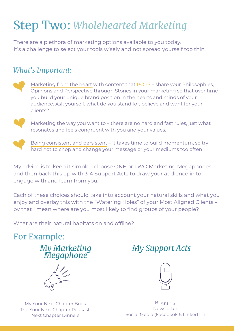# Step Two: *Wholehearted Marketing*

There are a plethora of marketing options available to you today. It's a challenge to select your tools wisely and not spread yourself too thin.

#### *What's Important:*

Marketing from the heart with content that POPS – share your Philosophies, Opinions and Perspective through Stories in your marketing so that over time you build your unique brand position in the hearts and minds of your audience. Ask yourself, what do you stand for, believe and want for your clients?



Marketing the way you want to – there are no hard and fast rules, just what resonates and feels congruent with you and your values.



Being consistent and persistent – it takes time to build momentum, so try hard not to chop and change your message or your mediums too often

My advice is to keep it simple - choose ONE or TWO Marketing Megaphones and then back this up with 3-4 Support Acts to draw your audience in to engage with and learn from you.

Each of these choices should take into account your natural skills and what you enjoy and overlay this with the "Watering Holes" of your Most Aligned Clients – by that I mean where are you most likely to find groups of your people?

What are their natural habitats on and offline?

### For Example:

*My Marketing Megaphone*



My Your Next Chapter Book The Your Next Chapter Podcast Next Chapter Dinners

### *My Support Acts*



Blogging Newsletter Social Media (Facebook & Linked In)